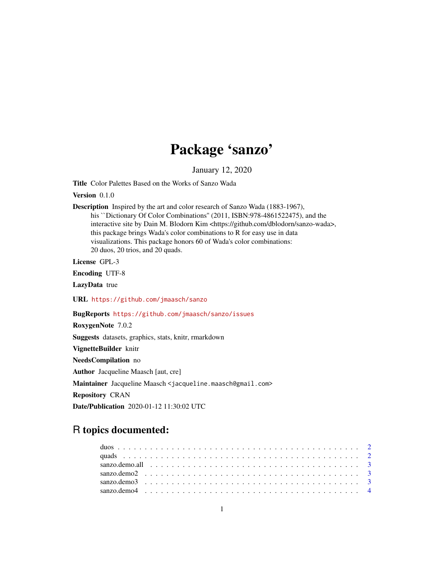## Package 'sanzo'

January 12, 2020

Title Color Palettes Based on the Works of Sanzo Wada

Version 0.1.0

Description Inspired by the art and color research of Sanzo Wada (1883-1967), his ``Dictionary Of Color Combinations'' (2011, ISBN:978-4861522475), and the interactive site by Dain M. Blodorn Kim <https://github.com/dblodorn/sanzo-wada>, this package brings Wada's color combinations to R for easy use in data visualizations. This package honors 60 of Wada's color combinations: 20 duos, 20 trios, and 20 quads.

License GPL-3

Encoding UTF-8

LazyData true

URL <https://github.com/jmaasch/sanzo>

BugReports <https://github.com/jmaasch/sanzo/issues>

RoxygenNote 7.0.2

Suggests datasets, graphics, stats, knitr, rmarkdown

VignetteBuilder knitr

NeedsCompilation no

Author Jacqueline Maasch [aut, cre]

Maintainer Jacqueline Maasch <jacqueline.maasch@gmail.com>

Repository CRAN

Date/Publication 2020-01-12 11:30:02 UTC

### R topics documented: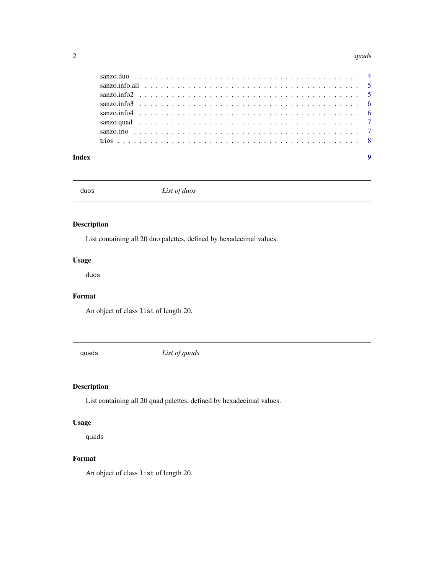#### <span id="page-1-0"></span> $2<sup>2</sup>$

| Index |  |  | $\overline{9}$ |
|-------|--|--|----------------|

duos *List of duos*

#### Description

List containing all 20 duo palettes, defined by hexadecimal values.

#### Usage

duos

#### Format

An object of class list of length 20.

quads *List of quads*

#### Description

List containing all 20 quad palettes, defined by hexadecimal values.

#### Usage

quads

#### Format

An object of class list of length 20.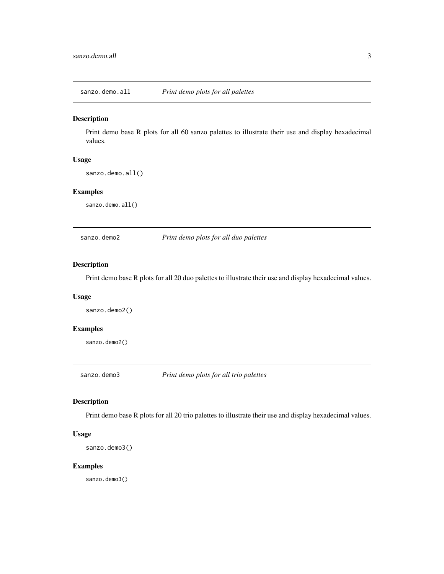<span id="page-2-0"></span>sanzo.demo.all *Print demo plots for all palettes*

#### Description

Print demo base R plots for all 60 sanzo palettes to illustrate their use and display hexadecimal values.

#### Usage

```
sanzo.demo.all()
```
#### Examples

sanzo.demo.all()

sanzo.demo2 *Print demo plots for all duo palettes*

#### Description

Print demo base R plots for all 20 duo palettes to illustrate their use and display hexadecimal values.

#### Usage

sanzo.demo2()

#### Examples

sanzo.demo2()

sanzo.demo3 *Print demo plots for all trio palettes*

#### Description

Print demo base R plots for all 20 trio palettes to illustrate their use and display hexadecimal values.

#### Usage

```
sanzo.demo3()
```
#### Examples

sanzo.demo3()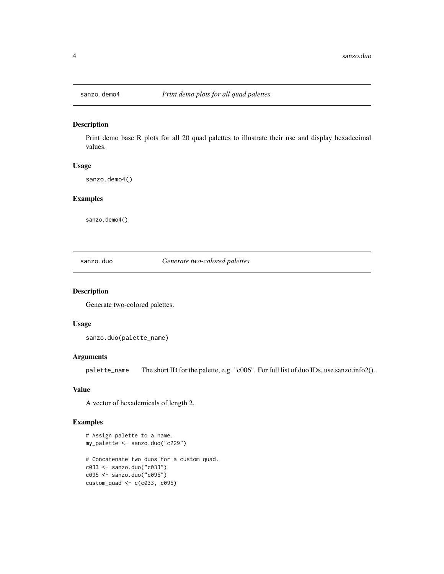<span id="page-3-0"></span>

#### Description

Print demo base R plots for all 20 quad palettes to illustrate their use and display hexadecimal values.

#### Usage

sanzo.demo4()

#### Examples

sanzo.demo4()

sanzo.duo *Generate two-colored palettes*

#### Description

Generate two-colored palettes.

#### Usage

sanzo.duo(palette\_name)

#### Arguments

palette\_name The short ID for the palette, e.g. "c006". For full list of duo IDs, use sanzo.info2().

#### Value

A vector of hexademicals of length 2.

#### Examples

```
# Assign palette to a name.
my_palette <- sanzo.duo("c229")
# Concatenate two duos for a custom quad.
c033 <- sanzo.duo("c033")
c095 <- sanzo.duo("c095")
\text{custom\_quad} \leq \text{c}(\text{c033}, \text{c095})
```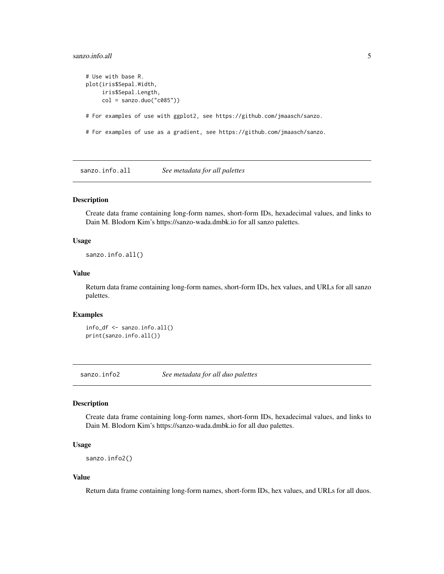#### <span id="page-4-0"></span>sanzo.info.all 5

```
# Use with base R.
plot(iris$Sepal.Width,
     iris$Sepal.Length,
     col =sanzo.duo("c085")# For examples of use with ggplot2, see https://github.com/jmaasch/sanzo.
# For examples of use as a gradient, see https://github.com/jmaasch/sanzo.
```
sanzo.info.all *See metadata for all palettes*

#### Description

Create data frame containing long-form names, short-form IDs, hexadecimal values, and links to Dain M. Blodorn Kim's https://sanzo-wada.dmbk.io for all sanzo palettes.

#### Usage

sanzo.info.all()

#### Value

Return data frame containing long-form names, short-form IDs, hex values, and URLs for all sanzo palettes.

#### Examples

info\_df <- sanzo.info.all() print(sanzo.info.all())

sanzo.info2 *See metadata for all duo palettes*

#### Description

Create data frame containing long-form names, short-form IDs, hexadecimal values, and links to Dain M. Blodorn Kim's https://sanzo-wada.dmbk.io for all duo palettes.

#### Usage

```
sanzo.info2()
```
#### Value

Return data frame containing long-form names, short-form IDs, hex values, and URLs for all duos.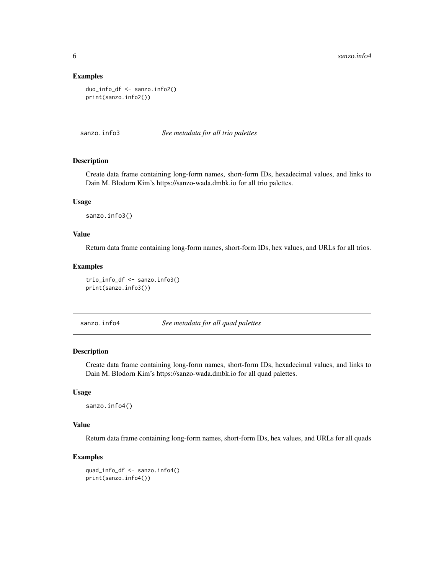#### Examples

```
duo_info_df <- sanzo.info2()
print(sanzo.info2())
```
sanzo.info3 *See metadata for all trio palettes*

#### Description

Create data frame containing long-form names, short-form IDs, hexadecimal values, and links to Dain M. Blodorn Kim's https://sanzo-wada.dmbk.io for all trio palettes.

#### Usage

sanzo.info3()

#### Value

Return data frame containing long-form names, short-form IDs, hex values, and URLs for all trios.

#### Examples

```
trio_info_df <- sanzo.info3()
print(sanzo.info3())
```
sanzo.info4 *See metadata for all quad palettes*

#### Description

Create data frame containing long-form names, short-form IDs, hexadecimal values, and links to Dain M. Blodorn Kim's https://sanzo-wada.dmbk.io for all quad palettes.

#### Usage

sanzo.info4()

#### Value

Return data frame containing long-form names, short-form IDs, hex values, and URLs for all quads

#### Examples

```
quad_info_df <- sanzo.info4()
print(sanzo.info4())
```
<span id="page-5-0"></span>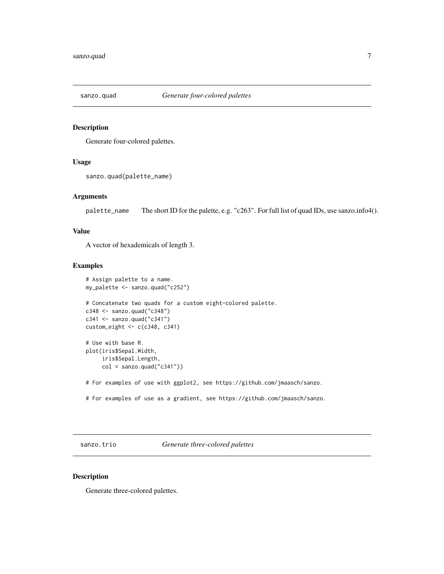<span id="page-6-0"></span>

#### Description

Generate four-colored palettes.

#### Usage

```
sanzo.quad(palette_name)
```
#### Arguments

palette\_name The short ID for the palette, e.g. "c263". For full list of quad IDs, use sanzo.info4().

#### Value

A vector of hexademicals of length 3.

#### Examples

```
# Assign palette to a name.
my_palette <- sanzo.quad("c252")
# Concatenate two quads for a custom eight-colored palette.
c348 <- sanzo.quad("c348")
c341 <- sanzo.quad("c341")
custom_eight \leq c(c348, c341)
# Use with base R.
plot(iris$Sepal.Width,
     iris$Sepal.Length,
     col =sanzo.quad("c341"))
# For examples of use with ggplot2, see https://github.com/jmaasch/sanzo.
# For examples of use as a gradient, see https://github.com/jmaasch/sanzo.
```
sanzo.trio *Generate three-colored palettes*

#### Description

Generate three-colored palettes.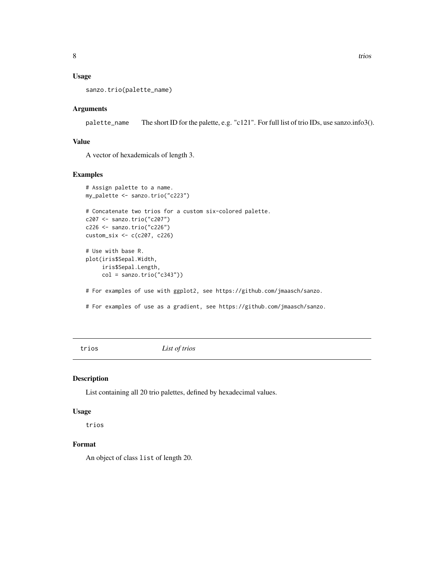#### <span id="page-7-0"></span>Usage

```
sanzo.trio(palette_name)
```
#### Arguments

palette\_name The short ID for the palette, e.g. "c121". For full list of trio IDs, use sanzo.info3().

#### Value

A vector of hexademicals of length 3.

#### Examples

```
# Assign palette to a name.
my_palette <- sanzo.trio("c223")
# Concatenate two trios for a custom six-colored palette.
c207 <- sanzo.trio("c207")
c226 <- sanzo.trio("c226")
custom_six <- c(c207, c226)
# Use with base R.
plot(iris$Sepal.Width,
     iris$Sepal.Length,
     col = sanzo.trio("c343"))
# For examples of use with ggplot2, see https://github.com/jmaasch/sanzo.
```
# For examples of use as a gradient, see https://github.com/jmaasch/sanzo.

trios *List of trios*

#### Description

List containing all 20 trio palettes, defined by hexadecimal values.

#### Usage

trios

#### Format

An object of class list of length 20.